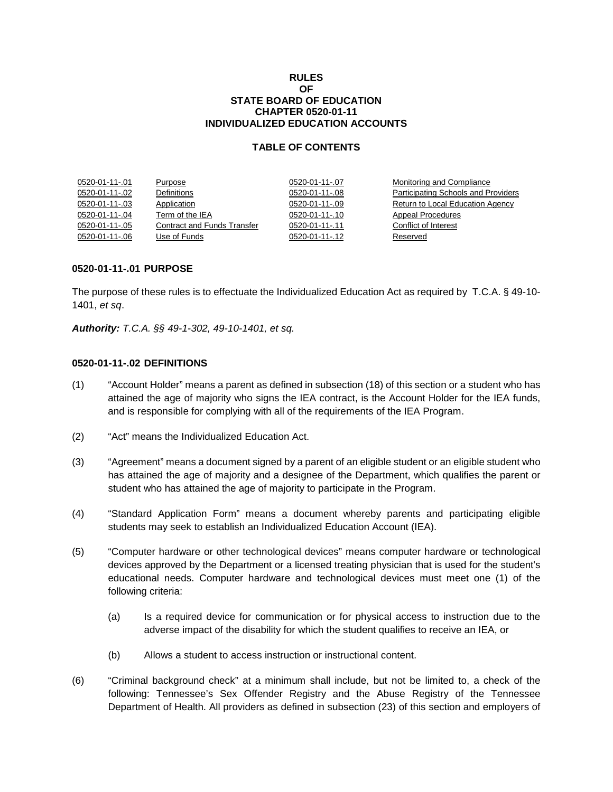#### **RULES OF STATE BOARD OF EDUCATION CHAPTER 0520-01-11 INDIVIDUALIZED EDUCATION ACCOUNTS**

# **TABLE OF CONTENTS**

| 0520-01-11-.01 | Purpose                            | 0520-01-11-.07 | Monitoring and Compliance           |
|----------------|------------------------------------|----------------|-------------------------------------|
| 0520-01-11-.02 | Definitions                        | 0520-01-11-.08 | Participating Schools and Providers |
| 0520-01-11-.03 | Application                        | 0520-01-11-.09 | Return to Local Education Agency    |
| 0520-01-11-.04 | Term of the IEA                    | 0520-01-11-.10 | Appeal Procedures                   |
| 0520-01-11-.05 | <b>Contract and Funds Transfer</b> | 0520-01-11-.11 | Conflict of Interest                |
| 0520-01-11-.06 | Use of Funds                       | 0520-01-11-.12 | Reserved                            |

#### **0520-01-11-.01 PURPOSE**

The purpose of these rules is to effectuate the Individualized Education Act as required by T.C.A. § 49-10- 1401, *et sq*.

*Authority: T.C.A. §§ 49-1-302, 49-10-1401, et sq.*

### **0520-01-11-.02 DEFINITIONS**

- (1) "Account Holder" means a parent as defined in subsection (18) of this section or a student who has attained the age of majority who signs the IEA contract, is the Account Holder for the IEA funds, and is responsible for complying with all of the requirements of the IEA Program.
- (2) "Act" means the Individualized Education Act.
- (3) "Agreement" means a document signed by a parent of an eligible student or an eligible student who has attained the age of majority and a designee of the Department, which qualifies the parent or student who has attained the age of majority to participate in the Program.
- (4) "Standard Application Form" means a document whereby parents and participating eligible students may seek to establish an Individualized Education Account (IEA).
- (5) "Computer hardware or other technological devices" means computer hardware or technological devices approved by the Department or a licensed treating physician that is used for the student's educational needs. Computer hardware and technological devices must meet one (1) of the following criteria:
	- (a) Is a required device for communication or for physical access to instruction due to the adverse impact of the disability for which the student qualifies to receive an IEA, or
	- (b) Allows a student to access instruction or instructional content.
- (6) "Criminal background check" at a minimum shall include, but not be limited to, a check of the following: Tennessee's Sex Offender Registry and the Abuse Registry of the Tennessee Department of Health. All providers as defined in subsection (23) of this section and employers of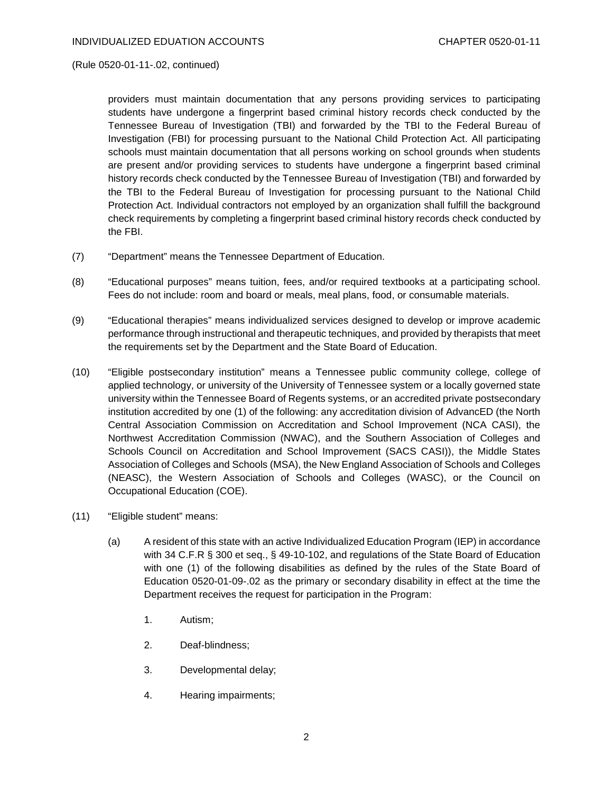(Rule 0520-01-11-.02, continued)

providers must maintain documentation that any persons providing services to participating students have undergone a fingerprint based criminal history records check conducted by the Tennessee Bureau of Investigation (TBI) and forwarded by the TBI to the Federal Bureau of Investigation (FBI) for processing pursuant to the National Child Protection Act. All participating schools must maintain documentation that all persons working on school grounds when students are present and/or providing services to students have undergone a fingerprint based criminal history records check conducted by the Tennessee Bureau of Investigation (TBI) and forwarded by the TBI to the Federal Bureau of Investigation for processing pursuant to the National Child Protection Act. Individual contractors not employed by an organization shall fulfill the background check requirements by completing a fingerprint based criminal history records check conducted by the FBI.

- (7) "Department" means the Tennessee Department of Education.
- (8) "Educational purposes" means tuition, fees, and/or required textbooks at a participating school. Fees do not include: room and board or meals, meal plans, food, or consumable materials.
- (9) "Educational therapies" means individualized services designed to develop or improve academic performance through instructional and therapeutic techniques, and provided by therapists that meet the requirements set by the Department and the State Board of Education.
- (10) "Eligible postsecondary institution" means a Tennessee public community college, college of applied technology, or university of the University of Tennessee system or a locally governed state university within the Tennessee Board of Regents systems, or an accredited private postsecondary institution accredited by one (1) of the following: any accreditation division of AdvancED (the North Central Association Commission on Accreditation and School Improvement (NCA CASI), the Northwest Accreditation Commission (NWAC), and the Southern Association of Colleges and Schools Council on Accreditation and School Improvement (SACS CASI)), the Middle States Association of Colleges and Schools (MSA), the New England Association of Schools and Colleges (NEASC), the Western Association of Schools and Colleges (WASC), or the Council on Occupational Education (COE).
- (11) "Eligible student" means:
	- (a) A resident of this state with an active Individualized Education Program (IEP) in accordance with 34 C.F.R § 300 et seq., § 49-10-102, and regulations of the State Board of Education with one (1) of the following disabilities as defined by the rules of the State Board of Education 0520-01-09-.02 as the primary or secondary disability in effect at the time the Department receives the request for participation in the Program:
		- 1. Autism;
		- 2. Deaf-blindness;
		- 3. Developmental delay;
		- 4. Hearing impairments;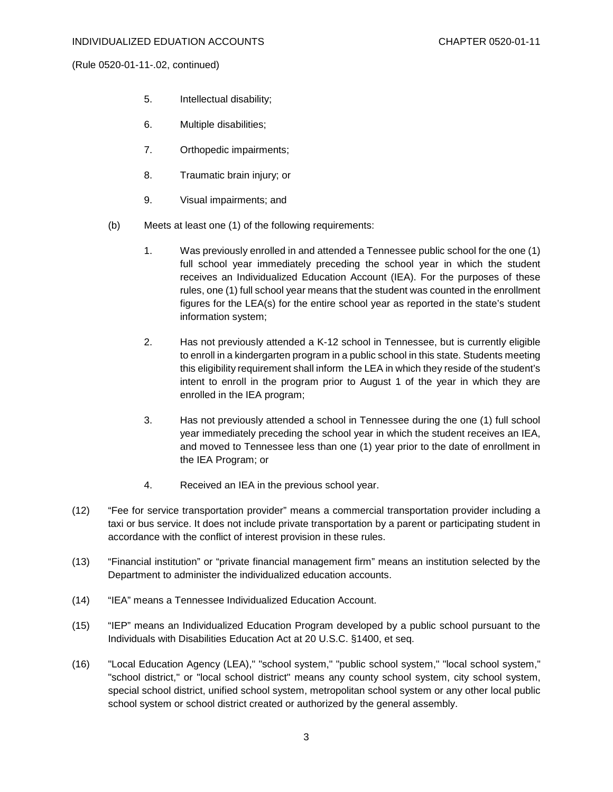(Rule 0520-01-11-.02, continued)

- 5. Intellectual disability;
- 6. Multiple disabilities;
- 7. Orthopedic impairments;
- 8. Traumatic brain injury; or
- 9. Visual impairments; and
- (b) Meets at least one (1) of the following requirements:
	- 1. Was previously enrolled in and attended a Tennessee public school for the one (1) full school year immediately preceding the school year in which the student receives an Individualized Education Account (IEA). For the purposes of these rules, one (1) full school year means that the student was counted in the enrollment figures for the LEA(s) for the entire school year as reported in the state's student information system;
	- 2. Has not previously attended a K-12 school in Tennessee, but is currently eligible to enroll in a kindergarten program in a public school in this state. Students meeting this eligibility requirement shall inform the LEA in which they reside of the student's intent to enroll in the program prior to August 1 of the year in which they are enrolled in the IEA program;
	- 3. Has not previously attended a school in Tennessee during the one (1) full school year immediately preceding the school year in which the student receives an IEA, and moved to Tennessee less than one (1) year prior to the date of enrollment in the IEA Program; or
	- 4. Received an IEA in the previous school year.
- (12) "Fee for service transportation provider" means a commercial transportation provider including a taxi or bus service. It does not include private transportation by a parent or participating student in accordance with the conflict of interest provision in these rules.
- (13) "Financial institution" or "private financial management firm" means an institution selected by the Department to administer the individualized education accounts.
- (14) "IEA" means a Tennessee Individualized Education Account.
- (15) "IEP" means an Individualized Education Program developed by a public school pursuant to the Individuals with Disabilities Education Act at 20 U.S.C. §1400, et seq.
- (16) "Local Education Agency (LEA)," "school system," "public school system," "local school system," "school district," or "local school district" means any county school system, city school system, special school district, unified school system, metropolitan school system or any other local public school system or school district created or authorized by the general assembly.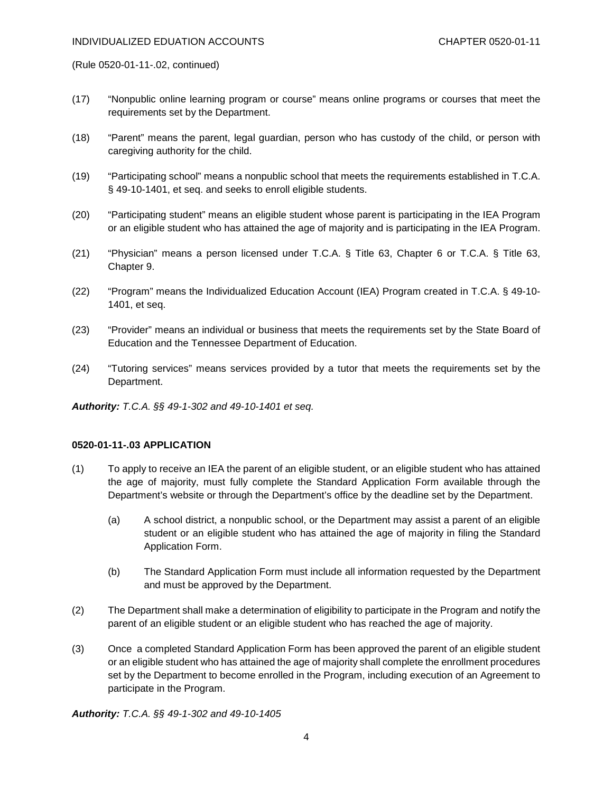(Rule 0520-01-11-.02, continued)

- (17) "Nonpublic online learning program or course" means online programs or courses that meet the requirements set by the Department.
- (18) "Parent" means the parent, legal guardian, person who has custody of the child, or person with caregiving authority for the child.
- (19) "Participating school" means a nonpublic school that meets the requirements established in T.C.A. § 49-10-1401, et seq. and seeks to enroll eligible students.
- (20) "Participating student" means an eligible student whose parent is participating in the IEA Program or an eligible student who has attained the age of majority and is participating in the IEA Program.
- (21) "Physician" means a person licensed under T.C.A. § Title 63, Chapter 6 or T.C.A. § Title 63, Chapter 9.
- (22) "Program" means the Individualized Education Account (IEA) Program created in T.C.A. § 49-10- 1401, et seq.
- (23) "Provider" means an individual or business that meets the requirements set by the State Board of Education and the Tennessee Department of Education.
- (24) "Tutoring services" means services provided by a tutor that meets the requirements set by the Department.

*Authority: T.C.A. §§ 49-1-302 and 49-10-1401 et seq.*

# **0520-01-11-.03 APPLICATION**

- (1) To apply to receive an IEA the parent of an eligible student, or an eligible student who has attained the age of majority, must fully complete the Standard Application Form available through the Department's website or through the Department's office by the deadline set by the Department.
	- (a) A school district, a nonpublic school, or the Department may assist a parent of an eligible student or an eligible student who has attained the age of majority in filing the Standard Application Form.
	- (b) The Standard Application Form must include all information requested by the Department and must be approved by the Department.
- (2) The Department shall make a determination of eligibility to participate in the Program and notify the parent of an eligible student or an eligible student who has reached the age of majority.
- (3) Once a completed Standard Application Form has been approved the parent of an eligible student or an eligible student who has attained the age of majority shall complete the enrollment procedures set by the Department to become enrolled in the Program, including execution of an Agreement to participate in the Program.

*Authority: T.C.A. §§ 49-1-302 and 49-10-1405*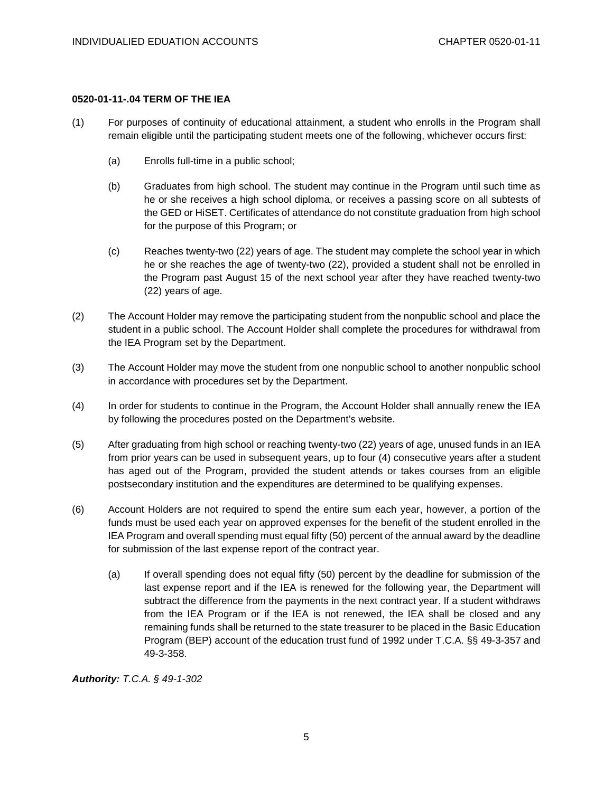# **0520-01-11-.04 TERM OF THE IEA**

- (1) For purposes of continuity of educational attainment, a student who enrolls in the Program shall remain eligible until the participating student meets one of the following, whichever occurs first:
	- (a) Enrolls full-time in a public school;
	- (b) Graduates from high school. The student may continue in the Program until such time as he or she receives a high school diploma, or receives a passing score on all subtests of the GED or HiSET. Certificates of attendance do not constitute graduation from high school for the purpose of this Program; or
	- (c) Reaches twenty-two (22) years of age. The student may complete the school year in which he or she reaches the age of twenty-two (22), provided a student shall not be enrolled in the Program past August 15 of the next school year after they have reached twenty-two (22) years of age.
- (2) The Account Holder may remove the participating student from the nonpublic school and place the student in a public school. The Account Holder shall complete the procedures for withdrawal from the IEA Program set by the Department.
- (3) The Account Holder may move the student from one nonpublic school to another nonpublic school in accordance with procedures set by the Department.
- (4) In order for students to continue in the Program, the Account Holder shall annually renew the IEA by following the procedures posted on the Department's website.
- (5) After graduating from high school or reaching twenty-two (22) years of age, unused funds in an IEA from prior years can be used in subsequent years, up to four (4) consecutive years after a student has aged out of the Program, provided the student attends or takes courses from an eligible postsecondary institution and the expenditures are determined to be qualifying expenses.
- (6) Account Holders are not required to spend the entire sum each year, however, a portion of the funds must be used each year on approved expenses for the benefit of the student enrolled in the IEA Program and overall spending must equal fifty (50) percent of the annual award by the deadline for submission of the last expense report of the contract year.
	- (a) If overall spending does not equal fifty (50) percent by the deadline for submission of the last expense report and if the IEA is renewed for the following year, the Department will subtract the difference from the payments in the next contract year. If a student withdraws from the IEA Program or if the IEA is not renewed, the IEA shall be closed and any remaining funds shall be returned to the state treasurer to be placed in the Basic Education Program (BEP) account of the education trust fund of 1992 under T.C.A. §§ 49-3-357 and 49-3-358.

*Authority: T.C.A. § 49-1-302*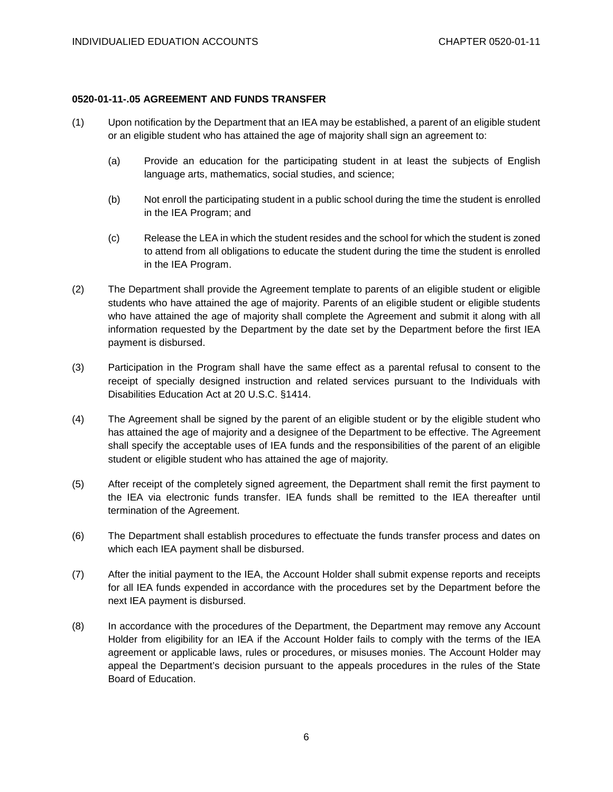# **0520-01-11-.05 AGREEMENT AND FUNDS TRANSFER**

- (1) Upon notification by the Department that an IEA may be established, a parent of an eligible student or an eligible student who has attained the age of majority shall sign an agreement to:
	- (a) Provide an education for the participating student in at least the subjects of English language arts, mathematics, social studies, and science;
	- (b) Not enroll the participating student in a public school during the time the student is enrolled in the IEA Program; and
	- (c) Release the LEA in which the student resides and the school for which the student is zoned to attend from all obligations to educate the student during the time the student is enrolled in the IEA Program.
- (2) The Department shall provide the Agreement template to parents of an eligible student or eligible students who have attained the age of majority. Parents of an eligible student or eligible students who have attained the age of majority shall complete the Agreement and submit it along with all information requested by the Department by the date set by the Department before the first IEA payment is disbursed.
- (3) Participation in the Program shall have the same effect as a parental refusal to consent to the receipt of specially designed instruction and related services pursuant to the Individuals with Disabilities Education Act at 20 U.S.C. §1414.
- (4) The Agreement shall be signed by the parent of an eligible student or by the eligible student who has attained the age of majority and a designee of the Department to be effective. The Agreement shall specify the acceptable uses of IEA funds and the responsibilities of the parent of an eligible student or eligible student who has attained the age of majority.
- (5) After receipt of the completely signed agreement, the Department shall remit the first payment to the IEA via electronic funds transfer. IEA funds shall be remitted to the IEA thereafter until termination of the Agreement.
- (6) The Department shall establish procedures to effectuate the funds transfer process and dates on which each IEA payment shall be disbursed.
- (7) After the initial payment to the IEA, the Account Holder shall submit expense reports and receipts for all IEA funds expended in accordance with the procedures set by the Department before the next IEA payment is disbursed.
- (8) In accordance with the procedures of the Department, the Department may remove any Account Holder from eligibility for an IEA if the Account Holder fails to comply with the terms of the IEA agreement or applicable laws, rules or procedures, or misuses monies. The Account Holder may appeal the Department's decision pursuant to the appeals procedures in the rules of the State Board of Education.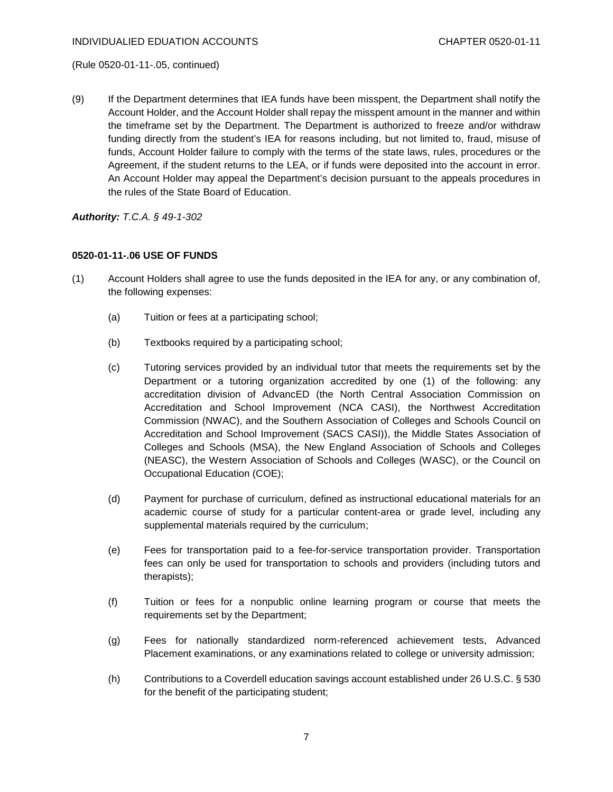(Rule 0520-01-11-.05, continued)

(9) If the Department determines that IEA funds have been misspent, the Department shall notify the Account Holder, and the Account Holder shall repay the misspent amount in the manner and within the timeframe set by the Department. The Department is authorized to freeze and/or withdraw funding directly from the student's IEA for reasons including, but not limited to, fraud, misuse of funds, Account Holder failure to comply with the terms of the state laws, rules, procedures or the Agreement, if the student returns to the LEA, or if funds were deposited into the account in error. An Account Holder may appeal the Department's decision pursuant to the appeals procedures in the rules of the State Board of Education.

*Authority: T.C.A. § 49-1-302*

### **0520-01-11-.06 USE OF FUNDS**

- (1) Account Holders shall agree to use the funds deposited in the IEA for any, or any combination of, the following expenses:
	- (a) Tuition or fees at a participating school;
	- (b) Textbooks required by a participating school;
	- (c) Tutoring services provided by an individual tutor that meets the requirements set by the Department or a tutoring organization accredited by one (1) of the following: any accreditation division of AdvancED (the North Central Association Commission on Accreditation and School Improvement (NCA CASI), the Northwest Accreditation Commission (NWAC), and the Southern Association of Colleges and Schools Council on Accreditation and School Improvement (SACS CASI)), the Middle States Association of Colleges and Schools (MSA), the New England Association of Schools and Colleges (NEASC), the Western Association of Schools and Colleges (WASC), or the Council on Occupational Education (COE);
	- (d) Payment for purchase of curriculum, defined as instructional educational materials for an academic course of study for a particular content-area or grade level, including any supplemental materials required by the curriculum;
	- (e) Fees for transportation paid to a fee-for-service transportation provider. Transportation fees can only be used for transportation to schools and providers (including tutors and therapists);
	- (f) Tuition or fees for a nonpublic online learning program or course that meets the requirements set by the Department;
	- (g) Fees for nationally standardized norm-referenced achievement tests, Advanced Placement examinations, or any examinations related to college or university admission;
	- (h) Contributions to a Coverdell education savings account established under 26 U.S.C. § 530 for the benefit of the participating student;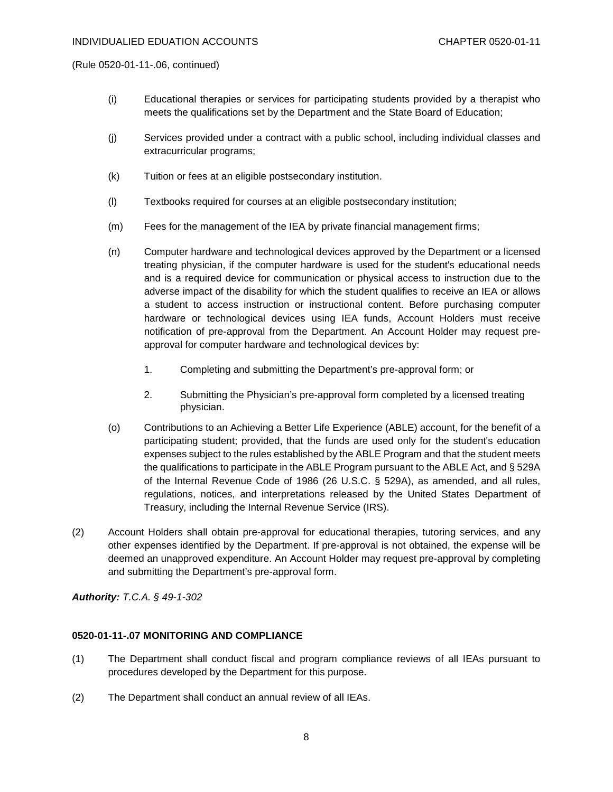(Rule 0520-01-11-.06, continued)

- (i) Educational therapies or services for participating students provided by a therapist who meets the qualifications set by the Department and the State Board of Education;
- (j) Services provided under a contract with a public school, including individual classes and extracurricular programs;
- (k) Tuition or fees at an eligible postsecondary institution.
- (l) Textbooks required for courses at an eligible postsecondary institution;
- (m) Fees for the management of the IEA by private financial management firms;
- (n) Computer hardware and technological devices approved by the Department or a licensed treating physician, if the computer hardware is used for the student's educational needs and is a required device for communication or physical access to instruction due to the adverse impact of the disability for which the student qualifies to receive an IEA or allows a student to access instruction or instructional content. Before purchasing computer hardware or technological devices using IEA funds, Account Holders must receive notification of pre-approval from the Department. An Account Holder may request preapproval for computer hardware and technological devices by:
	- 1. Completing and submitting the Department's pre-approval form; or
	- 2. Submitting the Physician's pre-approval form completed by a licensed treating physician.
- (o) Contributions to an Achieving a Better Life Experience (ABLE) account, for the benefit of a participating student; provided, that the funds are used only for the student's education expenses subject to the rules established by the ABLE Program and that the student meets the qualifications to participate in the ABLE Program pursuant to the ABLE Act, and § 529A of the Internal Revenue Code of 1986 (26 U.S.C. § 529A), as amended, and all rules, regulations, notices, and interpretations released by the United States Department of Treasury, including the Internal Revenue Service (IRS).
- (2) Account Holders shall obtain pre-approval for educational therapies, tutoring services, and any other expenses identified by the Department. If pre-approval is not obtained, the expense will be deemed an unapproved expenditure. An Account Holder may request pre-approval by completing and submitting the Department's pre-approval form.

*Authority: T.C.A. § 49-1-302*

#### **0520-01-11-.07 MONITORING AND COMPLIANCE**

- (1) The Department shall conduct fiscal and program compliance reviews of all IEAs pursuant to procedures developed by the Department for this purpose.
- (2) The Department shall conduct an annual review of all IEAs.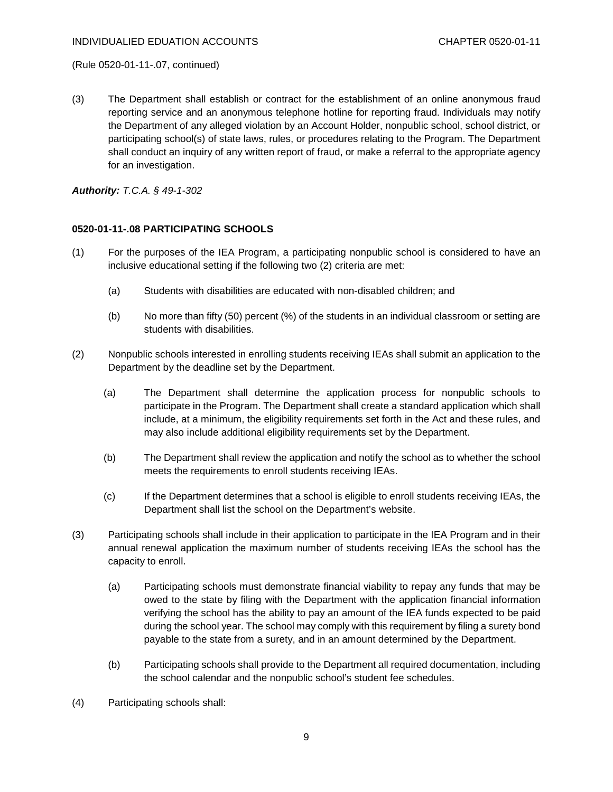#### INDIVIDUALIED EDUATION ACCOUNTS CHAPTER 0520-01-11

(Rule 0520-01-11-.07, continued)

(3) The Department shall establish or contract for the establishment of an online anonymous fraud reporting service and an anonymous telephone hotline for reporting fraud. Individuals may notify the Department of any alleged violation by an Account Holder, nonpublic school, school district, or participating school(s) of state laws, rules, or procedures relating to the Program. The Department shall conduct an inquiry of any written report of fraud, or make a referral to the appropriate agency for an investigation.

*Authority: T.C.A. § 49-1-302*

#### **0520-01-11-.08 PARTICIPATING SCHOOLS**

- (1) For the purposes of the IEA Program, a participating nonpublic school is considered to have an inclusive educational setting if the following two (2) criteria are met:
	- (a) Students with disabilities are educated with non-disabled children; and
	- (b) No more than fifty (50) percent (%) of the students in an individual classroom or setting are students with disabilities.
- (2) Nonpublic schools interested in enrolling students receiving IEAs shall submit an application to the Department by the deadline set by the Department.
	- (a) The Department shall determine the application process for nonpublic schools to participate in the Program. The Department shall create a standard application which shall include, at a minimum, the eligibility requirements set forth in the Act and these rules, and may also include additional eligibility requirements set by the Department.
	- (b) The Department shall review the application and notify the school as to whether the school meets the requirements to enroll students receiving IEAs.
	- (c) If the Department determines that a school is eligible to enroll students receiving IEAs, the Department shall list the school on the Department's website.
- (3) Participating schools shall include in their application to participate in the IEA Program and in their annual renewal application the maximum number of students receiving IEAs the school has the capacity to enroll.
	- (a) Participating schools must demonstrate financial viability to repay any funds that may be owed to the state by filing with the Department with the application financial information verifying the school has the ability to pay an amount of the IEA funds expected to be paid during the school year. The school may comply with this requirement by filing a surety bond payable to the state from a surety, and in an amount determined by the Department.
	- (b) Participating schools shall provide to the Department all required documentation, including the school calendar and the nonpublic school's student fee schedules.
- (4) Participating schools shall: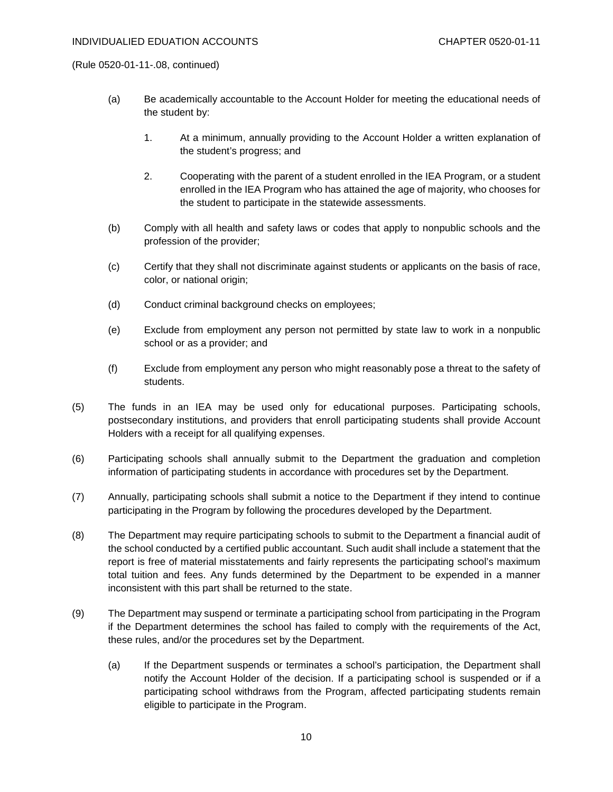(Rule 0520-01-11-.08, continued)

- (a) Be academically accountable to the Account Holder for meeting the educational needs of the student by:
	- 1. At a minimum, annually providing to the Account Holder a written explanation of the student's progress; and
	- 2. Cooperating with the parent of a student enrolled in the IEA Program, or a student enrolled in the IEA Program who has attained the age of majority, who chooses for the student to participate in the statewide assessments.
- (b) Comply with all health and safety laws or codes that apply to nonpublic schools and the profession of the provider;
- (c) Certify that they shall not discriminate against students or applicants on the basis of race, color, or national origin;
- (d) Conduct criminal background checks on employees;
- (e) Exclude from employment any person not permitted by state law to work in a nonpublic school or as a provider; and
- (f) Exclude from employment any person who might reasonably pose a threat to the safety of students.
- (5) The funds in an IEA may be used only for educational purposes. Participating schools, postsecondary institutions, and providers that enroll participating students shall provide Account Holders with a receipt for all qualifying expenses.
- (6) Participating schools shall annually submit to the Department the graduation and completion information of participating students in accordance with procedures set by the Department.
- (7) Annually, participating schools shall submit a notice to the Department if they intend to continue participating in the Program by following the procedures developed by the Department.
- (8) The Department may require participating schools to submit to the Department a financial audit of the school conducted by a certified public accountant. Such audit shall include a statement that the report is free of material misstatements and fairly represents the participating school's maximum total tuition and fees. Any funds determined by the Department to be expended in a manner inconsistent with this part shall be returned to the state.
- (9) The Department may suspend or terminate a participating school from participating in the Program if the Department determines the school has failed to comply with the requirements of the Act, these rules, and/or the procedures set by the Department.
	- (a) If the Department suspends or terminates a school's participation, the Department shall notify the Account Holder of the decision. If a participating school is suspended or if a participating school withdraws from the Program, affected participating students remain eligible to participate in the Program.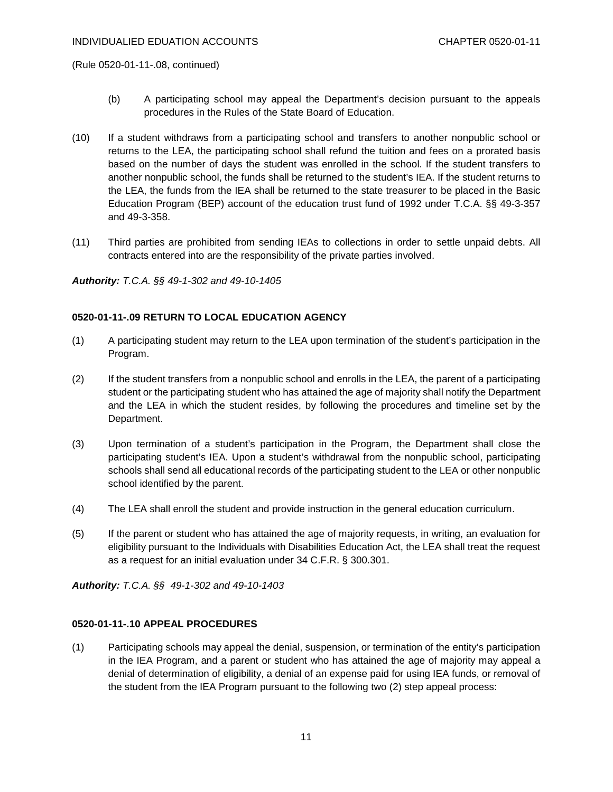(Rule 0520-01-11-.08, continued)

- (b) A participating school may appeal the Department's decision pursuant to the appeals procedures in the Rules of the State Board of Education.
- (10) If a student withdraws from a participating school and transfers to another nonpublic school or returns to the LEA, the participating school shall refund the tuition and fees on a prorated basis based on the number of days the student was enrolled in the school. If the student transfers to another nonpublic school, the funds shall be returned to the student's IEA. If the student returns to the LEA, the funds from the IEA shall be returned to the state treasurer to be placed in the Basic Education Program (BEP) account of the education trust fund of 1992 under T.C.A. §§ 49-3-357 and 49-3-358.
- (11) Third parties are prohibited from sending IEAs to collections in order to settle unpaid debts. All contracts entered into are the responsibility of the private parties involved.

*Authority: T.C.A. §§ 49-1-302 and 49-10-1405*

# **0520-01-11-.09 RETURN TO LOCAL EDUCATION AGENCY**

- (1) A participating student may return to the LEA upon termination of the student's participation in the Program.
- (2) If the student transfers from a nonpublic school and enrolls in the LEA, the parent of a participating student or the participating student who has attained the age of majority shall notify the Department and the LEA in which the student resides, by following the procedures and timeline set by the Department.
- (3) Upon termination of a student's participation in the Program, the Department shall close the participating student's IEA. Upon a student's withdrawal from the nonpublic school, participating schools shall send all educational records of the participating student to the LEA or other nonpublic school identified by the parent.
- (4) The LEA shall enroll the student and provide instruction in the general education curriculum.
- (5) If the parent or student who has attained the age of majority requests, in writing, an evaluation for eligibility pursuant to the Individuals with Disabilities Education Act, the LEA shall treat the request as a request for an initial evaluation under 34 C.F.R. § 300.301.

*Authority: T.C.A. §§ 49-1-302 and 49-10-1403*

# **0520-01-11-.10 APPEAL PROCEDURES**

(1) Participating schools may appeal the denial, suspension, or termination of the entity's participation in the IEA Program, and a parent or student who has attained the age of majority may appeal a denial of determination of eligibility, a denial of an expense paid for using IEA funds, or removal of the student from the IEA Program pursuant to the following two (2) step appeal process: